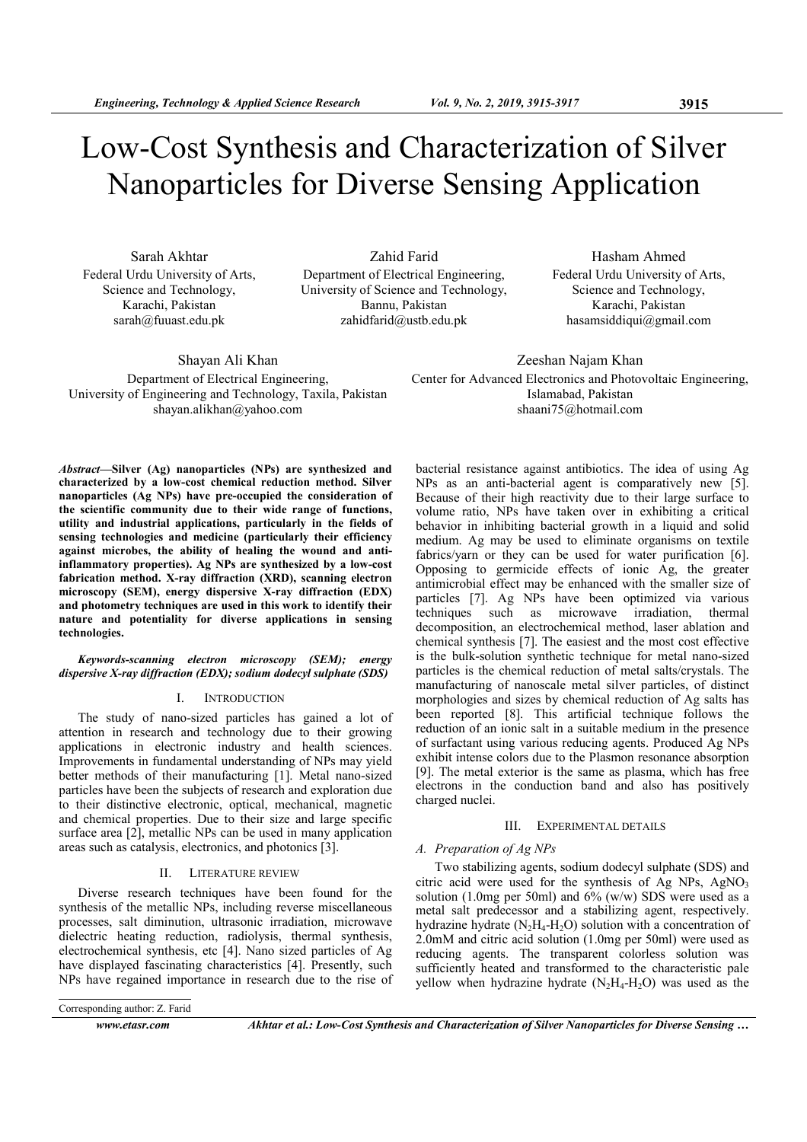# Low-Cost Synthesis and Characterization of Silver Nanoparticles for Diverse Sensing Application

Sarah Akhtar Federal Urdu University of Arts, Science and Technology, Karachi, Pakistan sarah@fuuast.edu.pk

Zahid Farid Department of Electrical Engineering, University of Science and Technology, Bannu, Pakistan zahidfarid@ustb.edu.pk

Hasham Ahmed Federal Urdu University of Arts, Science and Technology, Karachi, Pakistan hasamsiddiqui@gmail.com

Shayan Ali Khan Department of Electrical Engineering, University of Engineering and Technology, Taxila, Pakistan shayan.alikhan@yahoo.com

Zeeshan Najam Khan Center for Advanced Electronics and Photovoltaic Engineering, Islamabad, Pakistan shaani75@hotmail.com

Abstract—Silver (Ag) nanoparticles (NPs) are synthesized and characterized by a low-cost chemical reduction method. Silver nanoparticles (Ag NPs) have pre-occupied the consideration of the scientific community due to their wide range of functions, utility and industrial applications, particularly in the fields of sensing technologies and medicine (particularly their efficiency against microbes, the ability of healing the wound and antiinflammatory properties). Ag NPs are synthesized by a low-cost fabrication method. X-ray diffraction (XRD), scanning electron microscopy (SEM), energy dispersive X-ray diffraction (EDX) and photometry techniques are used in this work to identify their nature and potentiality for diverse applications in sensing technologies.

## Keywords-scanning electron microscopy (SEM); energy dispersive X-ray diffraction (EDX); sodium dodecyl sulphate (SDS)

## I. INTRODUCTION

The study of nano-sized particles has gained a lot of attention in research and technology due to their growing applications in electronic industry and health sciences. Improvements in fundamental understanding of NPs may yield better methods of their manufacturing [1]. Metal nano-sized particles have been the subjects of research and exploration due to their distinctive electronic, optical, mechanical, magnetic and chemical properties. Due to their size and large specific surface area [2], metallic NPs can be used in many application areas such as catalysis, electronics, and photonics [3].

## II. LITERATURE REVIEW

Diverse research techniques have been found for the synthesis of the metallic NPs, including reverse miscellaneous processes, salt diminution, ultrasonic irradiation, microwave dielectric heating reduction, radiolysis, thermal synthesis, electrochemical synthesis, etc [4]. Nano sized particles of Ag have displayed fascinating characteristics [4]. Presently, such NPs have regained importance in research due to the rise of

Corresponding author: Z. Farid

bacterial resistance against antibiotics. The idea of using Ag NPs as an anti-bacterial agent is comparatively new [5]. Because of their high reactivity due to their large surface to volume ratio, NPs have taken over in exhibiting a critical behavior in inhibiting bacterial growth in a liquid and solid medium. Ag may be used to eliminate organisms on textile fabrics/yarn or they can be used for water purification [6]. Opposing to germicide effects of ionic Ag, the greater antimicrobial effect may be enhanced with the smaller size of particles [7]. Ag NPs have been optimized via various techniques such as microwave irradiation, thermal decomposition, an electrochemical method, laser ablation and chemical synthesis [7]. The easiest and the most cost effective is the bulk-solution synthetic technique for metal nano-sized particles is the chemical reduction of metal salts/crystals. The manufacturing of nanoscale metal silver particles, of distinct morphologies and sizes by chemical reduction of Ag salts has been reported [8]. This artificial technique follows the reduction of an ionic salt in a suitable medium in the presence of surfactant using various reducing agents. Produced Ag NPs exhibit intense colors due to the Plasmon resonance absorption [9]. The metal exterior is the same as plasma, which has free electrons in the conduction band and also has positively charged nuclei.

## III. EXPERIMENTAL DETAILS

## A. Preparation of Ag NPs

Two stabilizing agents, sodium dodecyl sulphate (SDS) and citric acid were used for the synthesis of  $\overline{Ag}$  NPs,  $AgNO<sub>3</sub>$ solution (1.0mg per 50ml) and 6% (w/w) SDS were used as a metal salt predecessor and a stabilizing agent, respectively. hydrazine hydrate  $(N_2H_4-H_2O)$  solution with a concentration of 2.0mM and citric acid solution (1.0mg per 50ml) were used as reducing agents. The transparent colorless solution was sufficiently heated and transformed to the characteristic pale yellow when hydrazine hydrate  $(N_2H_4-H_2O)$  was used as the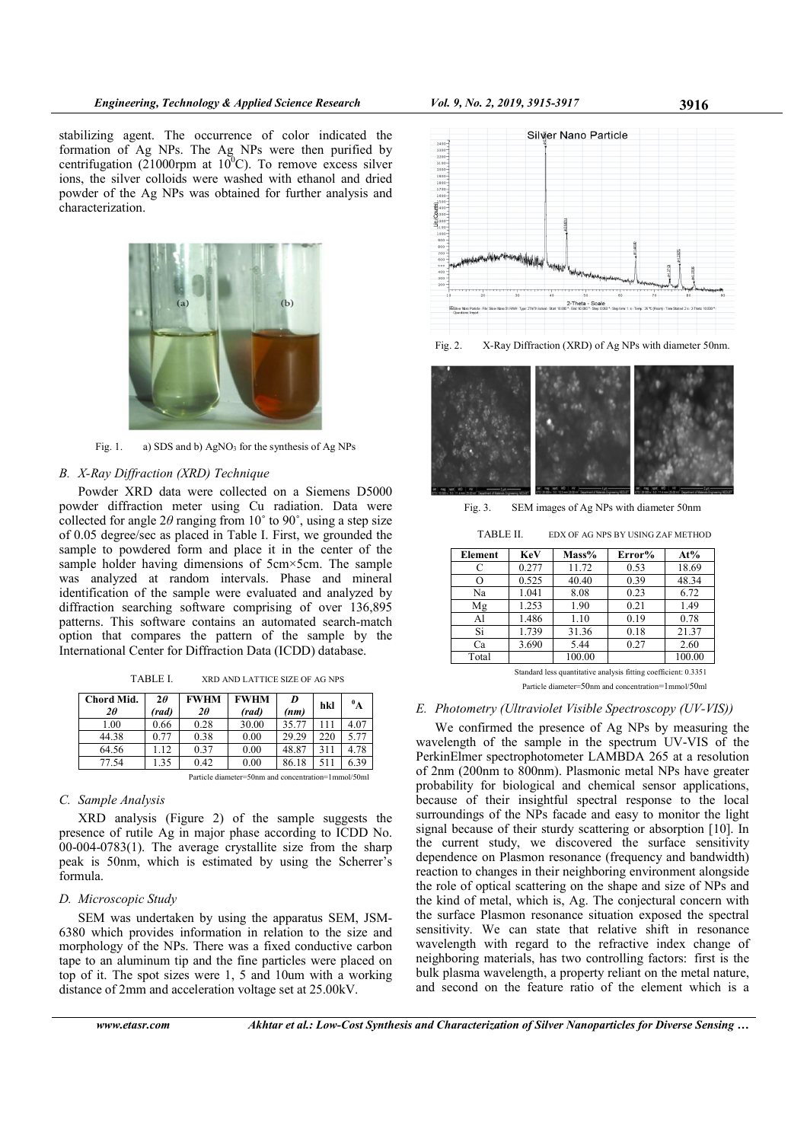stabilizing agent. The occurrence of color indicated the formation of Ag NPs. The Ag NPs were then purified by centrifugation (21000rpm at  $10^{0}$ C). To remove excess silver ions, the silver colloids were washed with ethanol and dried powder of the Ag NPs was obtained for further analysis and characterization.



Fig. 1. a) SDS and b) AgNO<sub>3</sub> for the synthesis of Ag NPs

# B. X-Ray Diffraction (XRD) Technique

Powder XRD data were collected on a Siemens D5000 powder diffraction meter using Cu radiation. Data were collected for angle  $2\theta$  ranging from 10° to 90°, using a step size of 0.05 degree/sec as placed in Table I. First, we grounded the sample to powdered form and place it in the center of the sample holder having dimensions of 5cm×5cm. The sample was analyzed at random intervals. Phase and mineral identification of the sample were evaluated and analyzed by diffraction searching software comprising of over 136,895 patterns. This software contains an automated search-match option that compares the pattern of the sample by the International Center for Diffraction Data (ICDD) database.

| TABLE I. | XRD AND LATTICE SIZE OF AG NPS |
|----------|--------------------------------|
|----------|--------------------------------|

| Chord Mid.<br>20                                    | $2\theta$<br>(rad) | <b>FWHM</b><br>2θ | <b>FWHM</b><br>(rad) | D<br>(nm) | hkl | $\mathbf{A}$ |
|-----------------------------------------------------|--------------------|-------------------|----------------------|-----------|-----|--------------|
|                                                     |                    |                   |                      |           |     |              |
| 1.00                                                | 0.66               | 0.28              | 30.00                | 35.77     | 111 | 4.07         |
| 44.38                                               | 0.77               | 0.38              | 0.00                 | 29.29     | 220 | 5.77         |
| 64.56                                               | 1.12               | 0.37              | 0.00                 | 48.87     | 311 | 4.78         |
| 77.54                                               | 1.35               | 0.42              | 0.00                 | 86.18     | 511 | 6.39         |
| Particle diameter=50nm and concentration=1mmol/50ml |                    |                   |                      |           |     |              |

# C. Sample Analysis

XRD analysis (Figure 2) of the sample suggests the presence of rutile Ag in major phase according to ICDD No. 00-004-0783(1). The average crystallite size from the sharp peak is 50nm, which is estimated by using the Scherrer's formula.

# D. Microscopic Study

SEM was undertaken by using the apparatus SEM, JSM-6380 which provides information in relation to the size and morphology of the NPs. There was a fixed conductive carbon tape to an aluminum tip and the fine particles were placed on top of it. The spot sizes were 1, 5 and 10um with a working distance of 2mm and acceleration voltage set at 25.00kV.



Fig. 2. X-Ray Diffraction (XRD) of Ag NPs with diameter 50nm.



Fig. 3. SEM images of Ag NPs with diameter 50nm

TABLE II. EDX OF AG NPS BY USING ZAF METHOD

| Element                                                         | KeV   | Mass%  | Error% | At%    |  |  |
|-----------------------------------------------------------------|-------|--------|--------|--------|--|--|
| C                                                               | 0.277 | 11.72  | 0.53   | 18.69  |  |  |
| О                                                               | 0.525 | 40.40  | 0.39   | 48.34  |  |  |
| Na                                                              | 1.041 | 8.08   | 0.23   | 6.72   |  |  |
| Mg                                                              | 1.253 | 1.90   | 0.21   | 1.49   |  |  |
| Al                                                              | 1.486 | 1.10   | 0.19   | 0.78   |  |  |
| Si                                                              | 1.739 | 31.36  | 0.18   | 21.37  |  |  |
| Ca                                                              | 3.690 | 5.44   | 0.27   | 2.60   |  |  |
| Total                                                           |       | 100.00 |        | 100.00 |  |  |
| Standard less quantitative analysis fitting coefficient: 0.3351 |       |        |        |        |  |  |

Particle diameter=50nm and concentration=1mmol/50ml

# E. Photometry (Ultraviolet Visible Spectroscopy (UV-VIS))

We confirmed the presence of Ag NPs by measuring the wavelength of the sample in the spectrum UV-VIS of the PerkinElmer spectrophotometer LAMBDA 265 at a resolution of 2nm (200nm to 800nm). Plasmonic metal NPs have greater probability for biological and chemical sensor applications, because of their insightful spectral response to the local surroundings of the NPs facade and easy to monitor the light signal because of their sturdy scattering or absorption [10]. In the current study, we discovered the surface sensitivity dependence on Plasmon resonance (frequency and bandwidth) reaction to changes in their neighboring environment alongside the role of optical scattering on the shape and size of NPs and the kind of metal, which is, Ag. The conjectural concern with the surface Plasmon resonance situation exposed the spectral sensitivity. We can state that relative shift in resonance wavelength with regard to the refractive index change of neighboring materials, has two controlling factors:  first is the bulk plasma wavelength, a property reliant on the metal nature, and second on the feature ratio of the element which is a